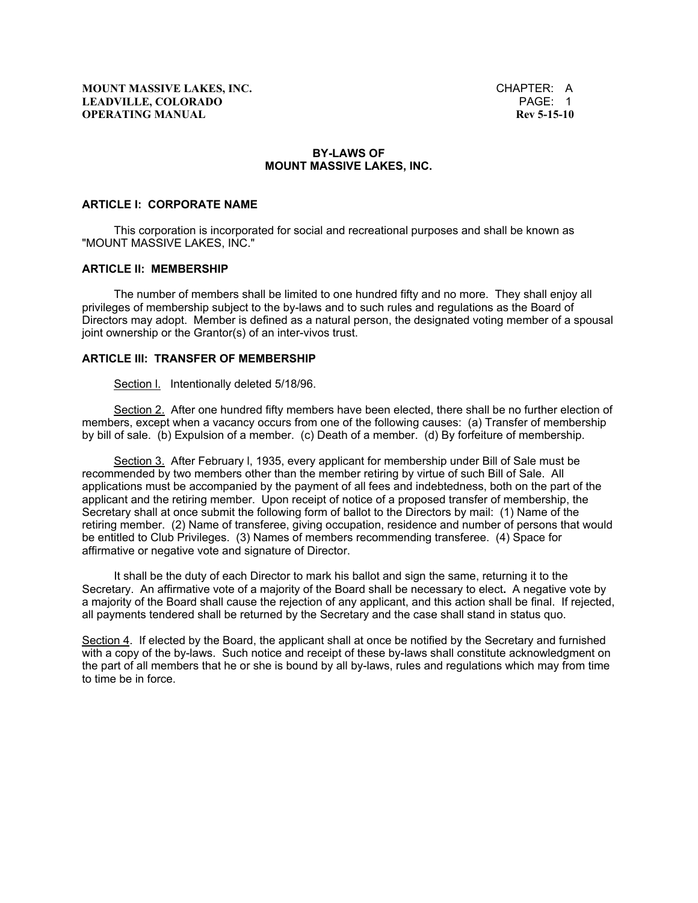### **BY-LAWS OF MOUNT MASSIVE LAKES, INC.**

#### **ARTICLE I: CORPORATE NAME**

 This corporation is incorporated for social and recreational purposes and shall be known as "MOUNT MASSIVE LAKES, INC."

### **ARTICLE II: MEMBERSHIP**

 The number of members shall be limited to one hundred fifty and no more. They shall enjoy all privileges of membership subject to the by-laws and to such rules and regulations as the Board of Directors may adopt. Member is defined as a natural person, the designated voting member of a spousal joint ownership or the Grantor(s) of an inter-vivos trust.

### **ARTICLE III: TRANSFER OF MEMBERSHIP**

Section l. Intentionally deleted 5/18/96.

 Section 2. After one hundred fifty members have been elected, there shall be no further election of members, except when a vacancy occurs from one of the following causes: (a) Transfer of membership by bill of sale. (b) Expulsion of a member. (c) Death of a member. (d) By forfeiture of membership.

 Section 3. After February l, 1935, every applicant for membership under Bill of Sale must be recommended by two members other than the member retiring by virtue of such Bill of Sale. All applications must be accompanied by the payment of all fees and indebtedness, both on the part of the applicant and the retiring member. Upon receipt of notice of a proposed transfer of membership, the Secretary shall at once submit the following form of ballot to the Directors by mail: (1) Name of the retiring member. (2) Name of transferee, giving occupation, residence and number of persons that would be entitled to Club Privileges. (3) Names of members recommending transferee. (4) Space for affirmative or negative vote and signature of Director.

 It shall be the duty of each Director to mark his ballot and sign the same, returning it to the Secretary. An affirmative vote of a majority of the Board shall be necessary to elect**.** A negative vote by a majority of the Board shall cause the rejection of any applicant, and this action shall be final. If rejected, all payments tendered shall be returned by the Secretary and the case shall stand in status quo.

Section 4. If elected by the Board, the applicant shall at once be notified by the Secretary and furnished with a copy of the by-laws. Such notice and receipt of these by-laws shall constitute acknowledgment on the part of all members that he or she is bound by all by-laws, rules and regulations which may from time to time be in force.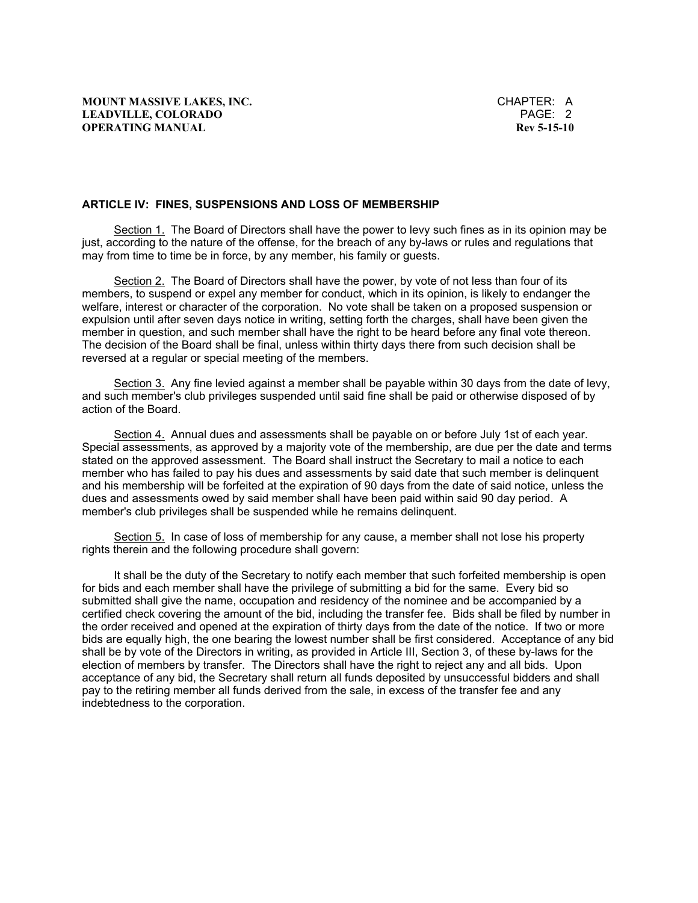#### **ARTICLE IV: FINES, SUSPENSIONS AND LOSS OF MEMBERSHIP**

Section 1. The Board of Directors shall have the power to levy such fines as in its opinion may be just, according to the nature of the offense, for the breach of any by-laws or rules and regulations that may from time to time be in force, by any member, his family or guests.

 Section 2. The Board of Directors shall have the power, by vote of not less than four of its members, to suspend or expel any member for conduct, which in its opinion, is likely to endanger the welfare, interest or character of the corporation. No vote shall be taken on a proposed suspension or expulsion until after seven days notice in writing, setting forth the charges, shall have been given the member in question, and such member shall have the right to be heard before any final vote thereon. The decision of the Board shall be final, unless within thirty days there from such decision shall be reversed at a regular or special meeting of the members.

 Section 3. Any fine levied against a member shall be payable within 30 days from the date of levy, and such member's club privileges suspended until said fine shall be paid or otherwise disposed of by action of the Board.

 Section 4. Annual dues and assessments shall be payable on or before July 1st of each year. Special assessments, as approved by a majority vote of the membership, are due per the date and terms stated on the approved assessment. The Board shall instruct the Secretary to mail a notice to each member who has failed to pay his dues and assessments by said date that such member is delinquent and his membership will be forfeited at the expiration of 90 days from the date of said notice, unless the dues and assessments owed by said member shall have been paid within said 90 day period. A member's club privileges shall be suspended while he remains delinquent.

 Section 5. In case of loss of membership for any cause, a member shall not lose his property rights therein and the following procedure shall govern:

 It shall be the duty of the Secretary to notify each member that such forfeited membership is open for bids and each member shall have the privilege of submitting a bid for the same. Every bid so submitted shall give the name, occupation and residency of the nominee and be accompanied by a certified check covering the amount of the bid, including the transfer fee. Bids shall be filed by number in the order received and opened at the expiration of thirty days from the date of the notice. If two or more bids are equally high, the one bearing the lowest number shall be first considered. Acceptance of any bid shall be by vote of the Directors in writing, as provided in Article III, Section 3, of these by-laws for the election of members by transfer. The Directors shall have the right to reject any and all bids. Upon acceptance of any bid, the Secretary shall return all funds deposited by unsuccessful bidders and shall pay to the retiring member all funds derived from the sale, in excess of the transfer fee and any indebtedness to the corporation.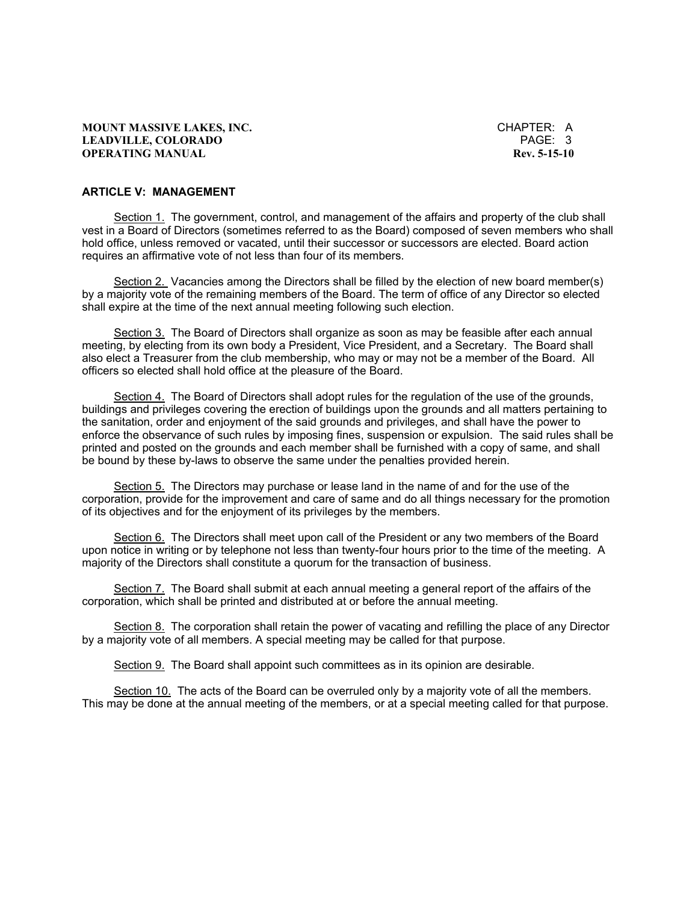**MOUNT MASSIVE LAKES, INC. CHAPTER: A LEADVILLE, COLORADO** PAGE: 3 **OPERATING MANUAL Rev. 5-15-10** 

## **ARTICLE V: MANAGEMENT**

Section 1. The government, control, and management of the affairs and property of the club shall vest in a Board of Directors (sometimes referred to as the Board) composed of seven members who shall hold office, unless removed or vacated, until their successor or successors are elected. Board action requires an affirmative vote of not less than four of its members.

 Section 2. Vacancies among the Directors shall be filled by the election of new board member(s) by a majority vote of the remaining members of the Board. The term of office of any Director so elected shall expire at the time of the next annual meeting following such election.

Section 3. The Board of Directors shall organize as soon as may be feasible after each annual meeting, by electing from its own body a President, Vice President, and a Secretary. The Board shall also elect a Treasurer from the club membership, who may or may not be a member of the Board. All officers so elected shall hold office at the pleasure of the Board.

 Section 4. The Board of Directors shall adopt rules for the regulation of the use of the grounds, buildings and privileges covering the erection of buildings upon the grounds and all matters pertaining to the sanitation, order and enjoyment of the said grounds and privileges, and shall have the power to enforce the observance of such rules by imposing fines, suspension or expulsion. The said rules shall be printed and posted on the grounds and each member shall be furnished with a copy of same, and shall be bound by these by-laws to observe the same under the penalties provided herein.

 Section 5. The Directors may purchase or lease land in the name of and for the use of the corporation, provide for the improvement and care of same and do all things necessary for the promotion of its objectives and for the enjoyment of its privileges by the members.

 Section 6. The Directors shall meet upon call of the President or any two members of the Board upon notice in writing or by telephone not less than twenty-four hours prior to the time of the meeting. A majority of the Directors shall constitute a quorum for the transaction of business.

 Section 7. The Board shall submit at each annual meeting a general report of the affairs of the corporation, which shall be printed and distributed at or before the annual meeting.

Section 8. The corporation shall retain the power of vacating and refilling the place of any Director by a majority vote of all members. A special meeting may be called for that purpose.

Section 9. The Board shall appoint such committees as in its opinion are desirable.

 Section 10. The acts of the Board can be overruled only by a majority vote of all the members. This may be done at the annual meeting of the members, or at a special meeting called for that purpose.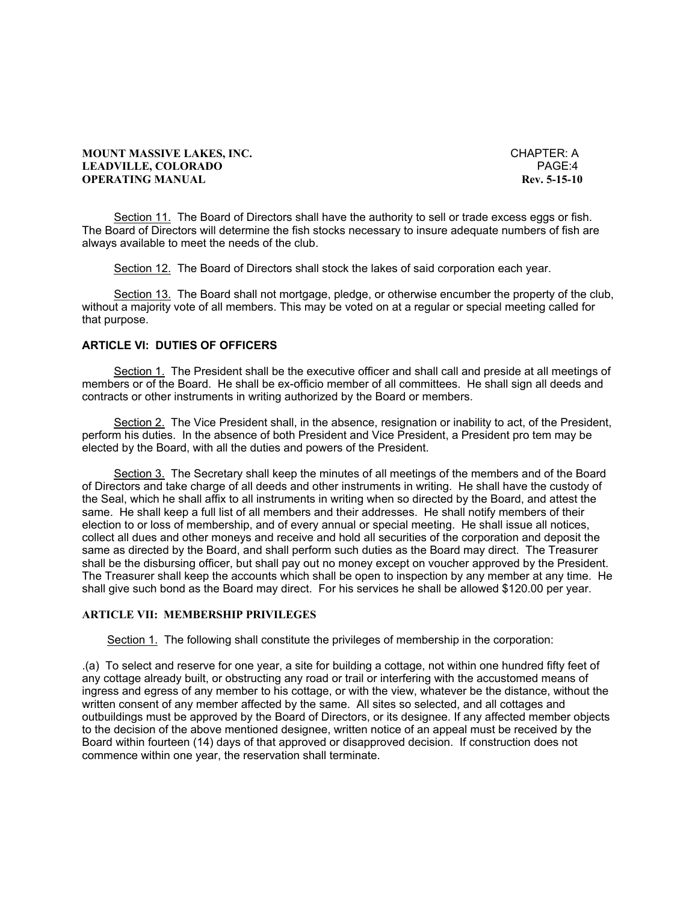### **MOUNT MASSIVE LAKES, INC. CHAPTER: A LEADVILLE, COLORADO** PAGE:4 **OPERATING MANUAL Rev. 5-15-10**

 Section 11. The Board of Directors shall have the authority to sell or trade excess eggs or fish. The Board of Directors will determine the fish stocks necessary to insure adequate numbers of fish are always available to meet the needs of the club.

Section 12. The Board of Directors shall stock the lakes of said corporation each year.

 Section 13. The Board shall not mortgage, pledge, or otherwise encumber the property of the club, without a majority vote of all members. This may be voted on at a regular or special meeting called for that purpose.

## **ARTICLE VI: DUTIES OF OFFICERS**

 Section 1. The President shall be the executive officer and shall call and preside at all meetings of members or of the Board. He shall be ex-officio member of all committees. He shall sign all deeds and contracts or other instruments in writing authorized by the Board or members.

 Section 2. The Vice President shall, in the absence, resignation or inability to act, of the President, perform his duties. In the absence of both President and Vice President, a President pro tem may be elected by the Board, with all the duties and powers of the President.

 Section 3. The Secretary shall keep the minutes of all meetings of the members and of the Board of Directors and take charge of all deeds and other instruments in writing. He shall have the custody of the Seal, which he shall affix to all instruments in writing when so directed by the Board, and attest the same. He shall keep a full list of all members and their addresses. He shall notify members of their election to or loss of membership, and of every annual or special meeting. He shall issue all notices, collect all dues and other moneys and receive and hold all securities of the corporation and deposit the same as directed by the Board, and shall perform such duties as the Board may direct. The Treasurer shall be the disbursing officer, but shall pay out no money except on voucher approved by the President. The Treasurer shall keep the accounts which shall be open to inspection by any member at any time. He shall give such bond as the Board may direct. For his services he shall be allowed \$120.00 per year.

## **ARTICLE VII: MEMBERSHIP PRIVILEGES**

Section 1. The following shall constitute the privileges of membership in the corporation:

.(a) To select and reserve for one year, a site for building a cottage, not within one hundred fifty feet of any cottage already built, or obstructing any road or trail or interfering with the accustomed means of ingress and egress of any member to his cottage, or with the view, whatever be the distance, without the written consent of any member affected by the same. All sites so selected, and all cottages and outbuildings must be approved by the Board of Directors, or its designee. If any affected member objects to the decision of the above mentioned designee, written notice of an appeal must be received by the Board within fourteen (14) days of that approved or disapproved decision. If construction does not commence within one year, the reservation shall terminate.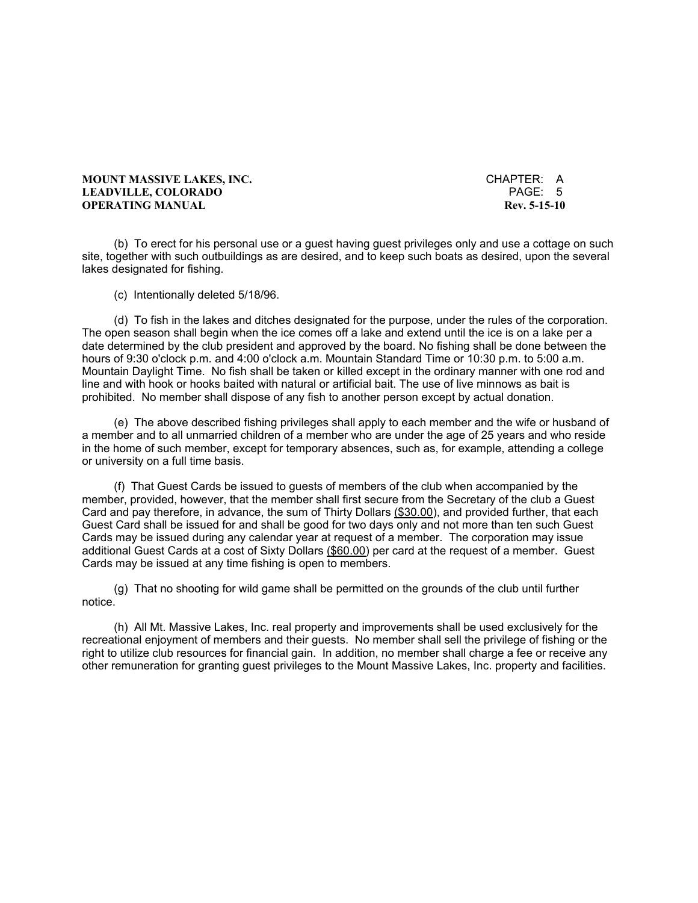**MOUNT MASSIVE LAKES, INC.** CHAPTER: A **LEADVILLE, COLORADO OPERATING MANUAL Rev. 5-15-10** 

 (b) To erect for his personal use or a guest having guest privileges only and use a cottage on such site, together with such outbuildings as are desired, and to keep such boats as desired, upon the several lakes designated for fishing.

(c) Intentionally deleted 5/18/96.

 (d) To fish in the lakes and ditches designated for the purpose, under the rules of the corporation. The open season shall begin when the ice comes off a lake and extend until the ice is on a lake per a date determined by the club president and approved by the board. No fishing shall be done between the hours of 9:30 o'clock p.m. and 4:00 o'clock a.m. Mountain Standard Time or 10:30 p.m. to 5:00 a.m. Mountain Daylight Time. No fish shall be taken or killed except in the ordinary manner with one rod and line and with hook or hooks baited with natural or artificial bait. The use of live minnows as bait is prohibited. No member shall dispose of any fish to another person except by actual donation.

 (e) The above described fishing privileges shall apply to each member and the wife or husband of a member and to all unmarried children of a member who are under the age of 25 years and who reside in the home of such member, except for temporary absences, such as, for example, attending a college or university on a full time basis.

 (f) That Guest Cards be issued to guests of members of the club when accompanied by the member, provided, however, that the member shall first secure from the Secretary of the club a Guest Card and pay therefore, in advance, the sum of Thirty Dollars (\$30.00), and provided further, that each Guest Card shall be issued for and shall be good for two days only and not more than ten such Guest Cards may be issued during any calendar year at request of a member. The corporation may issue additional Guest Cards at a cost of Sixty Dollars (\$60.00) per card at the request of a member. Guest Cards may be issued at any time fishing is open to members.

 (g) That no shooting for wild game shall be permitted on the grounds of the club until further notice.

 (h) All Mt. Massive Lakes, Inc. real property and improvements shall be used exclusively for the recreational enjoyment of members and their guests. No member shall sell the privilege of fishing or the right to utilize club resources for financial gain. In addition, no member shall charge a fee or receive any other remuneration for granting guest privileges to the Mount Massive Lakes, Inc. property and facilities.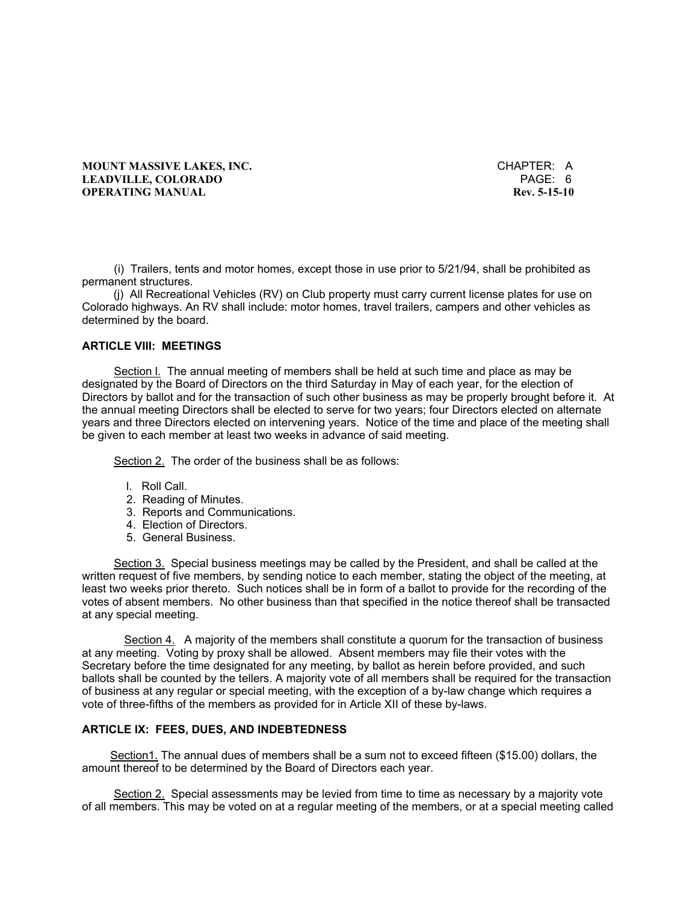**MOUNT MASSIVE LAKES, INC. CHAPTER: A LEADVILLE, COLORADO** PAGE: 6 **OPERATING MANUAL Rev. 5-15-10** 

 (i) Trailers, tents and motor homes, except those in use prior to 5/21/94, shall be prohibited as permanent structures.

 (j) All Recreational Vehicles (RV) on Club property must carry current license plates for use on Colorado highways. An RV shall include: motor homes, travel trailers, campers and other vehicles as determined by the board.

## **ARTICLE VIII: MEETINGS**

 Section l. The annual meeting of members shall be held at such time and place as may be designated by the Board of Directors on the third Saturday in May of each year, for the election of Directors by ballot and for the transaction of such other business as may be properly brought before it. At the annual meeting Directors shall be elected to serve for two years; four Directors elected on alternate years and three Directors elected on intervening years. Notice of the time and place of the meeting shall be given to each member at least two weeks in advance of said meeting.

Section 2. The order of the business shall be as follows:

- l. Roll Call.
- 2. Reading of Minutes.
- 3. Reports and Communications.
- 4. Election of Directors.
- 5. General Business.

 Section 3. Special business meetings may be called by the President, and shall be called at the written request of five members, by sending notice to each member, stating the object of the meeting, at least two weeks prior thereto. Such notices shall be in form of a ballot to provide for the recording of the votes of absent members. No other business than that specified in the notice thereof shall be transacted at any special meeting.

Section 4. A majority of the members shall constitute a quorum for the transaction of business at any meeting. Voting by proxy shall be allowed. Absent members may file their votes with the Secretary before the time designated for any meeting, by ballot as herein before provided, and such ballots shall be counted by the tellers. A majority vote of all members shall be required for the transaction of business at any regular or special meeting, with the exception of a by-law change which requires a vote of three-fifths of the members as provided for in Article XII of these by-laws.

#### **ARTICLE IX: FEES, DUES, AND INDEBTEDNESS**

 Section1. The annual dues of members shall be a sum not to exceed fifteen (\$15.00) dollars, the amount thereof to be determined by the Board of Directors each year.

 Section 2. Special assessments may be levied from time to time as necessary by a majority vote of all members. This may be voted on at a regular meeting of the members, or at a special meeting called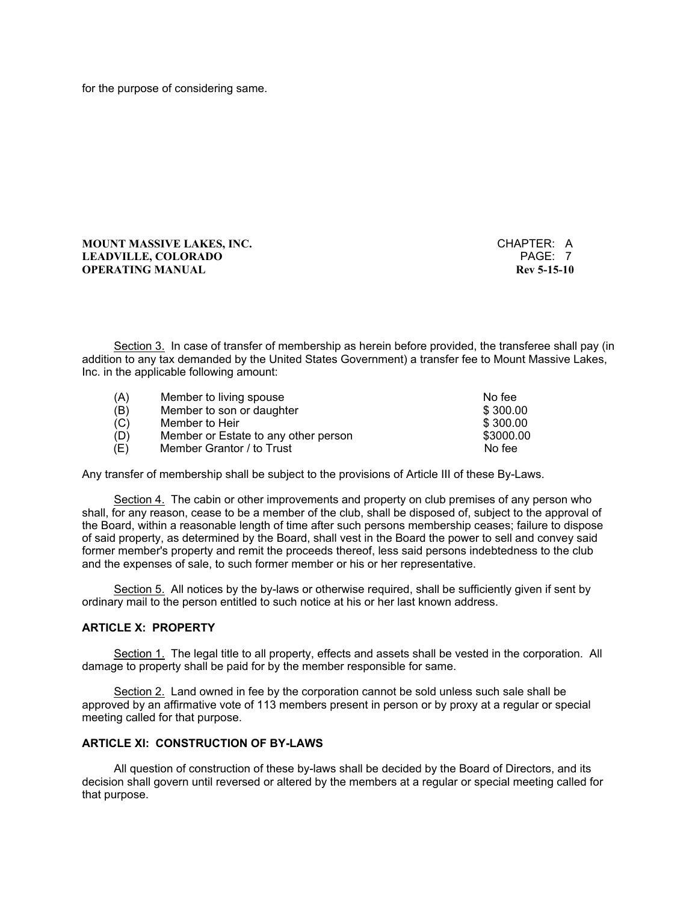for the purpose of considering same.

### **MOUNT MASSIVE LAKES, INC.** CHAPTER: A **LEADVILLE, COLORADO** PAGE: 7 **OPERATING MANUAL**

 Section 3. In case of transfer of membership as herein before provided, the transferee shall pay (in addition to any tax demanded by the United States Government) a transfer fee to Mount Massive Lakes, Inc. in the applicable following amount:

| (A) | Member to living spouse              | No fee    |
|-----|--------------------------------------|-----------|
| (B) | Member to son or daughter            | \$300.00  |
| (C) | Member to Heir                       | \$300.00  |
| (D) | Member or Estate to any other person | \$3000.00 |
| (E) | Member Grantor / to Trust            | No fee    |

Any transfer of membership shall be subject to the provisions of Article III of these By-Laws.

 Section 4. The cabin or other improvements and property on club premises of any person who shall, for any reason, cease to be a member of the club, shall be disposed of, subject to the approval of the Board, within a reasonable length of time after such persons membership ceases; failure to dispose of said property, as determined by the Board, shall vest in the Board the power to sell and convey said former member's property and remit the proceeds thereof, less said persons indebtedness to the club and the expenses of sale, to such former member or his or her representative.

 Section 5. All notices by the by-laws or otherwise required, shall be sufficiently given if sent by ordinary mail to the person entitled to such notice at his or her last known address.

## **ARTICLE X: PROPERTY**

 Section 1. The legal title to all property, effects and assets shall be vested in the corporation. All damage to property shall be paid for by the member responsible for same.

 Section 2. Land owned in fee by the corporation cannot be sold unless such sale shall be approved by an affirmative vote of 113 members present in person or by proxy at a regular or special meeting called for that purpose.

#### **ARTICLE XI: CONSTRUCTION OF BY-LAWS**

 All question of construction of these by-laws shall be decided by the Board of Directors, and its decision shall govern until reversed or altered by the members at a regular or special meeting called for that purpose.